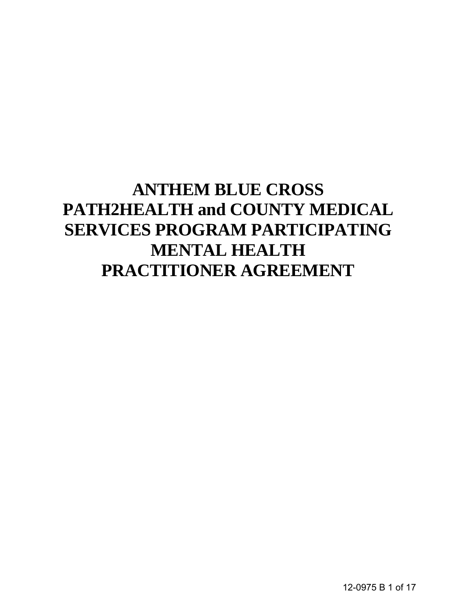# **ANTHEM BLUE CROSS PATH2HEALTH and COUNTY MEDICAL SERVICES PROGRAM PARTICIPATING MENTAL HEALTH PRACTITIONER AGREEMENT**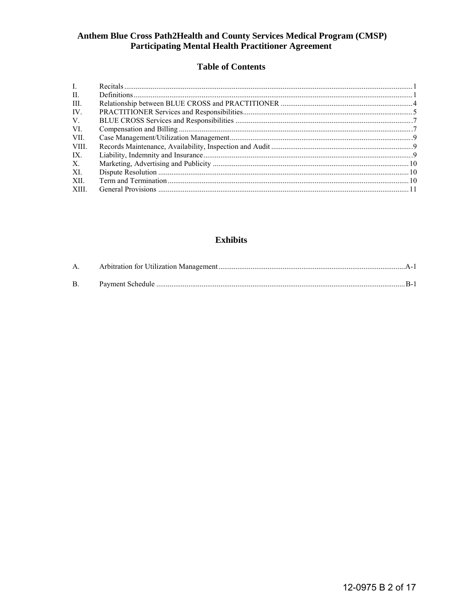# Anthem Blue Cross Path2Health and County Services Medical Program (CMSP) **Participating Mental Health Practitioner Agreement**

### **Table of Contents**

| $\mathbf{L}$   |  |
|----------------|--|
| $\mathbf{H}$ . |  |
| III.           |  |
| IV.            |  |
| V.             |  |
| VI.            |  |
| VII.           |  |
| VIII.          |  |
| IX.            |  |
| $X_{-}$        |  |
| XL             |  |
| XII.           |  |
| XIII.          |  |

# **Exhibits**

| $\mathbf{A}$ . |  |
|----------------|--|
|                |  |
| $\mathbf{B}$ . |  |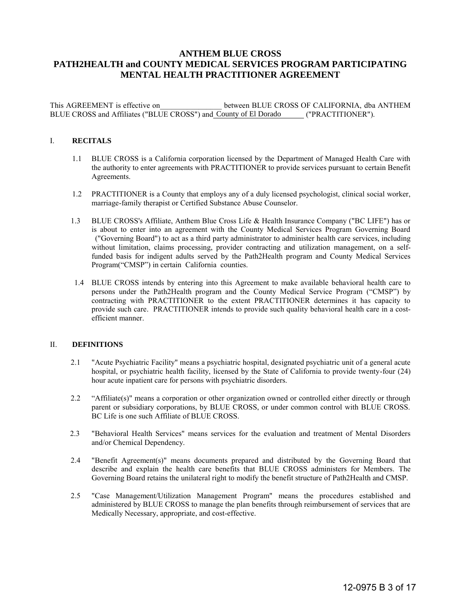## **ANTHEM BLUE CROSS PATH2HEALTH and COUNTY MEDICAL SERVICES PROGRAM PARTICIPATING MENTAL HEALTH PRACTITIONER AGREEMENT**

This AGREEMENT is effective on  $\qquad \qquad$  between BLUE CROSS OF CALIFORNIA, dba ANTHEM BLUE CROSS and Affiliates ("BLUE CROSS") and County of El Dorado ("PRACTITIONER").

#### I. **RECITALS**

- 1.1 BLUE CROSS is a California corporation licensed by the Department of Managed Health Care with the authority to enter agreements with PRACTITIONER to provide services pursuant to certain Benefit Agreements.
- 1.2 PRACTITIONER is a County that employs any of a duly licensed psychologist, clinical social worker, marriage-family therapist or Certified Substance Abuse Counselor.
- 1.3 BLUE CROSS's Affiliate, Anthem Blue Cross Life & Health Insurance Company ("BC LIFE") has or is about to enter into an agreement with the County Medical Services Program Governing Board ("Governing Board") to act as a third party administrator to administer health care services, including without limitation, claims processing, provider contracting and utilization management, on a selffunded basis for indigent adults served by the Path2Health program and County Medical Services Program("CMSP") in certain California counties.
- 1.4 BLUE CROSS intends by entering into this Agreement to make available behavioral health care to persons under the Path2Health program and the County Medical Service Program ("CMSP") by contracting with PRACTITIONER to the extent PRACTITIONER determines it has capacity to provide such care. PRACTITIONER intends to provide such quality behavioral health care in a cost**efficient manner**

#### II. **DEFINITIONS**

- 2.1 "Acute Psychiatric Facility" means a psychiatric hospital, designated psychiatric unit of a general acute hospital, or psychiatric health facility, licensed by the State of California to provide twenty-four (24) hour acute inpatient care for persons with psychiatric disorders.
- 2.2 "Affiliate(s)" means a corporation or other organization owned or controlled either directly or through parent or subsidiary corporations, by BLUE CROSS, or under common control with BLUE CROSS. BC Life is one such Affiliate of BLUE CROSS.
- 2.3 "Behavioral Health Services" means services for the evaluation and treatment of Mental Disorders and/or Chemical Dependency.
- 2.4 "Benefit Agreement(s)" means documents prepared and distributed by the Governing Board that describe and explain the health care benefits that BLUE CROSS administers for Members. The Governing Board retains the unilateral right to modify the benefit structure of Path2Health and CMSP.
- 2.5 "Case Management/Utilization Management Program" means the procedures established and administered by BLUE CROSS to manage the plan benefits through reimbursement of services that are Medically Necessary, appropriate, and cost-effective.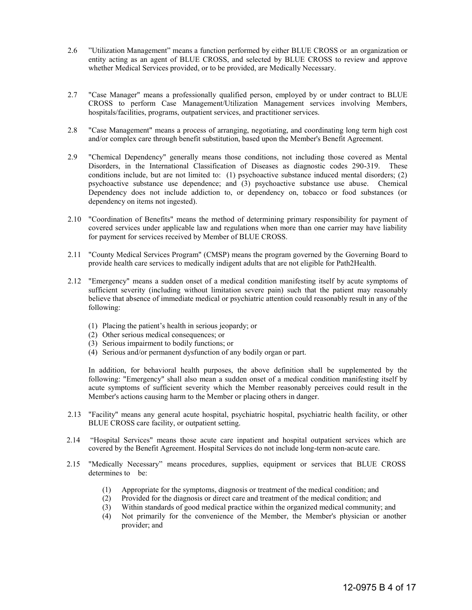- 2.6 "Utilization Management" means a function performed by either BLUE CROSS or an organization or entity acting as an agent of BLUE CROSS, and selected by BLUE CROSS to review and approve whether Medical Services provided, or to be provided, are Medically Necessary.
- 2.7 "Case Manager" means a professionally qualified person, employed by or under contract to BLUE CROSS to perform Case Management/Utilization Management services involving Members, hospitals/facilities, programs, outpatient services, and practitioner services.
- 2.8 "Case Management" means a process of arranging, negotiating, and coordinating long term high cost and/or complex care through benefit substitution, based upon the Member's Benefit Agreement.
- 2.9 "Chemical Dependency" generally means those conditions, not including those covered as Mental Disorders, in the International Classification of Diseases as diagnostic codes 290-319. These conditions include, but are not limited to: (1) psychoactive substance induced mental disorders; (2) psychoactive substance use dependence; and (3) psychoactive substance use abuse. Chemical Dependency does not include addiction to, or dependency on, tobacco or food substances (or dependency on items not ingested).
- 2.10 "Coordination of Benefits" means the method of determining primary responsibility for payment of covered services under applicable law and regulations when more than one carrier may have liability for payment for services received by Member of BLUE CROSS.
- 2.11 "County Medical Services Program" (CMSP) means the program governed by the Governing Board to provide health care services to medically indigent adults that are not eligible for Path2Health.
- 2.12 "Emergency" means a sudden onset of a medical condition manifesting itself by acute symptoms of sufficient severity (including without limitation severe pain) such that the patient may reasonably believe that absence of immediate medical or psychiatric attention could reasonably result in any of the following:
	- (1) Placing the patient's health in serious jeopardy; or
	- (2) Other serious medical consequences; or
	- (3) Serious impairment to bodily functions; or
	- (4) Serious and/or permanent dysfunction of any bodily organ or part.

In addition, for behavioral health purposes, the above definition shall be supplemented by the following: "Emergency" shall also mean a sudden onset of a medical condition manifesting itself by acute symptoms of sufficient severity which the Member reasonably perceives could result in the Member's actions causing harm to the Member or placing others in danger.

- 2.13 "Facility" means any general acute hospital, psychiatric hospital, psychiatric health facility, or other BLUE CROSS care facility, or outpatient setting.
- 2.14 "Hospital Services" means those acute care inpatient and hospital outpatient services which are covered by the Benefit Agreement. Hospital Services do not include long-term non-acute care.
- 2.15 "Medically Necessary" means procedures, supplies, equipment or services that BLUE CROSS determines to be:
	- (1) Appropriate for the symptoms, diagnosis or treatment of the medical condition; and
	- (2) Provided for the diagnosis or direct care and treatment of the medical condition; and
	- (3) Within standards of good medical practice within the organized medical community; and
	- (4) Not primarily for the convenience of the Member, the Member's physician or another provider; and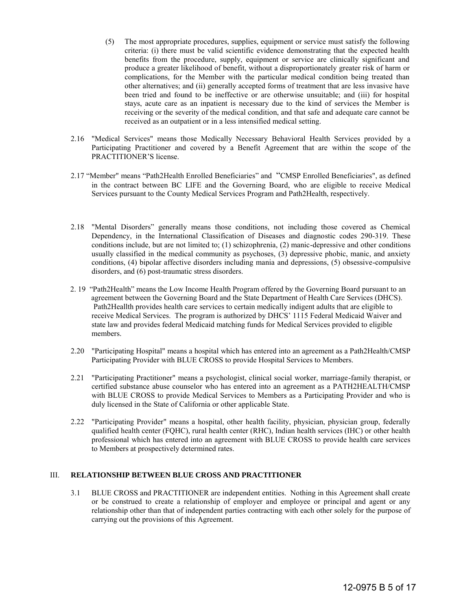- (5) The most appropriate procedures, supplies, equipment or service must satisfy the following criteria: (i) there must be valid scientific evidence demonstrating that the expected health benefits from the procedure, supply, equipment or service are clinically significant and produce a greater likelihood of benefit, without a disproportionately greater risk of harm or complications, for the Member with the particular medical condition being treated than other alternatives; and (ii) generally accepted forms of treatment that are less invasive have been tried and found to be ineffective or are otherwise unsuitable; and (iii) for hospital stays, acute care as an inpatient is necessary due to the kind of services the Member is receiving or the severity of the medical condition, and that safe and adequate care cannot be received as an outpatient or in a less intensified medical setting.
- 2.16 "Medical Services" means those Medically Necessary Behavioral Health Services provided by a Participating Practitioner and covered by a Benefit Agreement that are within the scope of the PRACTITIONER'S license.
- 2.17 "Member" means "Path2Health Enrolled Beneficiaries" and "CMSP Enrolled Beneficiaries", as defined in the contract between BC LIFE and the Governing Board, who are eligible to receive Medical Services pursuant to the County Medical Services Program and Path2Health, respectively.
- 2.18 "Mental Disorders" generally means those conditions, not including those covered as Chemical Dependency, in the International Classification of Diseases and diagnostic codes 290-319. These conditions include, but are not limited to; (1) schizophrenia, (2) manic-depressive and other conditions usually classified in the medical community as psychoses, (3) depressive phobic, manic, and anxiety conditions, (4) bipolar affective disorders including mania and depressions, (5) obsessive-compulsive disorders, and (6) post-traumatic stress disorders.
- 2. 19 "Path2Health" means the Low Income Health Program offered by the Governing Board pursuant to an agreement between the Governing Board and the State Department of Health Care Services (DHCS). Path2Heallth provides health care services to certain medically indigent adults that are eligible to receive Medical Services. The program is authorized by DHCS' 1115 Federal Medicaid Waiver and state law and provides federal Medicaid matching funds for Medical Services provided to eligible members.
- 2.20 "Participating Hospital" means a hospital which has entered into an agreement as a Path2Health/CMSP Participating Provider with BLUE CROSS to provide Hospital Services to Members.
- 2.21 "Participating Practitioner" means a psychologist, clinical social worker, marriage-family therapist, or certified substance abuse counselor who has entered into an agreement as a PATH2HEALTH/CMSP with BLUE CROSS to provide Medical Services to Members as a Participating Provider and who is duly licensed in the State of California or other applicable State.
- 2.22 "Participating Provider" means a hospital, other health facility, physician, physician group, federally qualified health center (FQHC), rural health center (RHC), Indian health services (IHC) or other health professional which has entered into an agreement with BLUE CROSS to provide health care services to Members at prospectively determined rates.

#### III. **RELATIONSHIP BETWEEN BLUE CROSS AND PRACTITIONER**

3.1 BLUE CROSS and PRACTITIONER are independent entities. Nothing in this Agreement shall create or be construed to create a relationship of employer and employee or principal and agent or any relationship other than that of independent parties contracting with each other solely for the purpose of carrying out the provisions of this Agreement.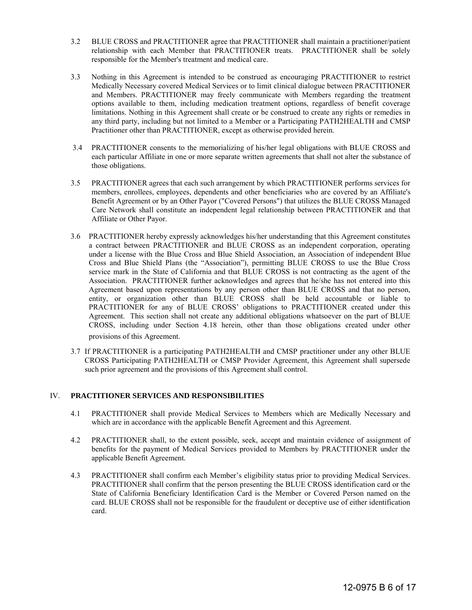- 3.2 BLUE CROSS and PRACTITIONER agree that PRACTITIONER shall maintain a practitioner/patient relationship with each Member that PRACTITIONER treats. PRACTITIONER shall be solely responsible for the Member's treatment and medical care.
- 3.3 Nothing in this Agreement is intended to be construed as encouraging PRACTITIONER to restrict Medically Necessary covered Medical Services or to limit clinical dialogue between PRACTITIONER and Members. PRACTITIONER may freely communicate with Members regarding the treatment options available to them, including medication treatment options, regardless of benefit coverage limitations. Nothing in this Agreement shall create or be construed to create any rights or remedies in any third party, including but not limited to a Member or a Participating PATH2HEALTH and CMSP Practitioner other than PRACTITIONER, except as otherwise provided herein.
- 3.4 PRACTITIONER consents to the memorializing of his/her legal obligations with BLUE CROSS and each particular Affiliate in one or more separate written agreements that shall not alter the substance of those obligations.
- 3.5 PRACTITIONER agrees that each such arrangement by which PRACTITIONER performs services for members, enrollees, employees, dependents and other beneficiaries who are covered by an Affiliate's Benefit Agreement or by an Other Payor ("Covered Persons") that utilizes the BLUE CROSS Managed Care Network shall constitute an independent legal relationship between PRACTITIONER and that Affiliate or Other Payor.
- 3.6 PRACTITIONER hereby expressly acknowledges his/her understanding that this Agreement constitutes a contract between PRACTITIONER and BLUE CROSS as an independent corporation, operating under a license with the Blue Cross and Blue Shield Association, an Association of independent Blue Cross and Blue Shield Plans (the "Association"), permitting BLUE CROSS to use the Blue Cross service mark in the State of California and that BLUE CROSS is not contracting as the agent of the Association. PRACTITIONER further acknowledges and agrees that he/she has not entered into this Agreement based upon representations by any person other than BLUE CROSS and that no person, entity, or organization other than BLUE CROSS shall be held accountable or liable to PRACTITIONER for any of BLUE CROSS' obligations to PRACTITIONER created under this Agreement. This section shall not create any additional obligations whatsoever on the part of BLUE CROSS, including under Section 4.18 herein, other than those obligations created under other provisions of this Agreement.
- 3.7 If PRACTITIONER is a participating PATH2HEALTH and CMSP practitioner under any other BLUE CROSS Participating PATH2HEALTH or CMSP Provider Agreement, this Agreement shall supersede such prior agreement and the provisions of this Agreement shall control.

#### IV. **PRACTITIONER SERVICES AND RESPONSIBILITIES**

- 4.1 PRACTITIONER shall provide Medical Services to Members which are Medically Necessary and which are in accordance with the applicable Benefit Agreement and this Agreement.
- 4.2 PRACTITIONER shall, to the extent possible, seek, accept and maintain evidence of assignment of benefits for the payment of Medical Services provided to Members by PRACTITIONER under the applicable Benefit Agreement.
- 4.3 PRACTITIONER shall confirm each Member's eligibility status prior to providing Medical Services. PRACTITIONER shall confirm that the person presenting the BLUE CROSS identification card or the State of California Beneficiary Identification Card is the Member or Covered Person named on the card. BLUE CROSS shall not be responsible for the fraudulent or deceptive use of either identification card.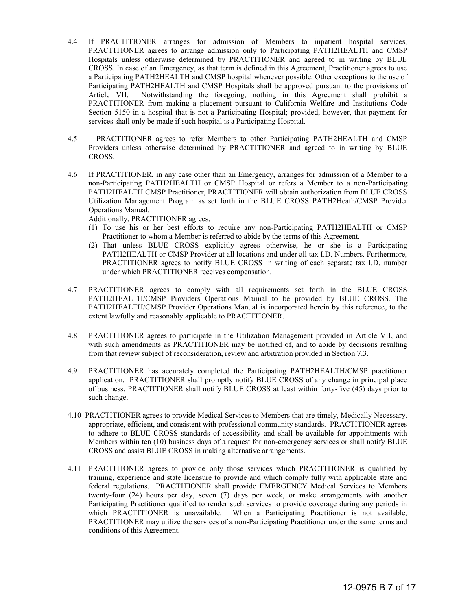- 4.4 If PRACTITIONER arranges for admission of Members to inpatient hospital services, PRACTITIONER agrees to arrange admission only to Participating PATH2HEALTH and CMSP Hospitals unless otherwise determined by PRACTITIONER and agreed to in writing by BLUE CROSS. In case of an Emergency, as that term is defined in this Agreement, Practitioner agrees to use a Participating PATH2HEALTH and CMSP hospital whenever possible. Other exceptions to the use of Participating PATH2HEALTH and CMSP Hospitals shall be approved pursuant to the provisions of Article VII. Notwithstanding the foregoing, nothing in this Agreement shall prohibit a PRACTITIONER from making a placement pursuant to California Welfare and Institutions Code Section 5150 in a hospital that is not a Participating Hospital; provided, however, that payment for services shall only be made if such hospital is a Participating Hospital.
- 4.5 PRACTITIONER agrees to refer Members to other Participating PATH2HEALTH and CMSP Providers unless otherwise determined by PRACTITIONER and agreed to in writing by BLUE CROSS.
- 4.6 If PRACTITIONER, in any case other than an Emergency, arranges for admission of a Member to a non-Participating PATH2HEALTH or CMSP Hospital or refers a Member to a non-Participating PATH2HEALTH CMSP Practitioner, PRACTITIONER will obtain authorization from BLUE CROSS Utilization Management Program as set forth in the BLUE CROSS PATH2Heath/CMSP Provider Operations Manual.

Additionally, PRACTITIONER agrees,

- (1) To use his or her best efforts to require any non-Participating PATH2HEALTH or CMSP Practitioner to whom a Member is referred to abide by the terms of this Agreement.
- (2) That unless BLUE CROSS explicitly agrees otherwise, he or she is a Participating PATH2HEALTH or CMSP Provider at all locations and under all tax I.D. Numbers. Furthermore, PRACTITIONER agrees to notify BLUE CROSS in writing of each separate tax I.D. number under which PRACTITIONER receives compensation.
- 4.7 PRACTITIONER agrees to comply with all requirements set forth in the BLUE CROSS PATH2HEALTH/CMSP Providers Operations Manual to be provided by BLUE CROSS. The PATH2HEALTH/CMSP Provider Operations Manual is incorporated herein by this reference, to the extent lawfully and reasonably applicable to PRACTITIONER.
- 4.8 PRACTITIONER agrees to participate in the Utilization Management provided in Article VII, and with such amendments as PRACTITIONER may be notified of, and to abide by decisions resulting from that review subject of reconsideration, review and arbitration provided in Section 7.3.
- 4.9 PRACTITIONER has accurately completed the Participating PATH2HEALTH/CMSP practitioner application. PRACTITIONER shall promptly notify BLUE CROSS of any change in principal place of business, PRACTITIONER shall notify BLUE CROSS at least within forty-five (45) days prior to such change.
- 4.10 PRACTITIONER agrees to provide Medical Services to Members that are timely, Medically Necessary, appropriate, efficient, and consistent with professional community standards. PRACTITIONER agrees to adhere to BLUE CROSS standards of accessibility and shall be available for appointments with Members within ten (10) business days of a request for non-emergency services or shall notify BLUE CROSS and assist BLUE CROSS in making alternative arrangements.
- 4.11 PRACTITIONER agrees to provide only those services which PRACTITIONER is qualified by training, experience and state licensure to provide and which comply fully with applicable state and federal regulations. PRACTITIONER shall provide EMERGENCY Medical Services to Members twenty-four (24) hours per day, seven (7) days per week, or make arrangements with another Participating Practitioner qualified to render such services to provide coverage during any periods in which PRACTITIONER is unavailable. When a Participating Practitioner is not available, PRACTITIONER may utilize the services of a non-Participating Practitioner under the same terms and conditions of this Agreement.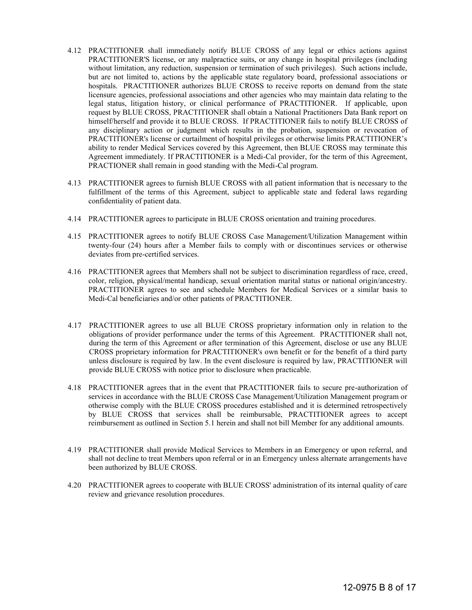- 4.12 PRACTITIONER shall immediately notify BLUE CROSS of any legal or ethics actions against PRACTITIONER'S license, or any malpractice suits, or any change in hospital privileges (including without limitation, any reduction, suspension or termination of such privileges). Such actions include, but are not limited to, actions by the applicable state regulatory board, professional associations or hospitals. PRACTITIONER authorizes BLUE CROSS to receive reports on demand from the state licensure agencies, professional associations and other agencies who may maintain data relating to the legal status, litigation history, or clinical performance of PRACTITIONER. If applicable, upon request by BLUE CROSS, PRACTITIONER shall obtain a National Practitioners Data Bank report on himself/herself and provide it to BLUE CROSS. If PRACTITIONER fails to notify BLUE CROSS of any disciplinary action or judgment which results in the probation, suspension or revocation of PRACTITIONER's license or curtailment of hospital privileges or otherwise limits PRACTITIONER's ability to render Medical Services covered by this Agreement, then BLUE CROSS may terminate this Agreement immediately. If PRACTITIONER is a Medi-Cal provider, for the term of this Agreement, PRACTIONER shall remain in good standing with the Medi-Cal program.
- 4.13 PRACTITIONER agrees to furnish BLUE CROSS with all patient information that is necessary to the fulfillment of the terms of this Agreement, subject to applicable state and federal laws regarding confidentiality of patient data.
- 4.14 PRACTITIONER agrees to participate in BLUE CROSS orientation and training procedures.
- 4.15 PRACTITIONER agrees to notify BLUE CROSS Case Management/Utilization Management within twenty-four (24) hours after a Member fails to comply with or discontinues services or otherwise deviates from pre-certified services.
- 4.16 PRACTITIONER agrees that Members shall not be subject to discrimination regardless of race, creed, color, religion, physical/mental handicap, sexual orientation marital status or national origin/ancestry. PRACTITIONER agrees to see and schedule Members for Medical Services or a similar basis to Medi-Cal beneficiaries and/or other patients of PRACTITIONER.
- 4.17 PRACTITIONER agrees to use all BLUE CROSS proprietary information only in relation to the obligations of provider performance under the terms of this Agreement. PRACTITIONER shall not, during the term of this Agreement or after termination of this Agreement, disclose or use any BLUE CROSS proprietary information for PRACTITIONER's own benefit or for the benefit of a third party unless disclosure is required by law. In the event disclosure is required by law, PRACTITIONER will provide BLUE CROSS with notice prior to disclosure when practicable.
- 4.18 PRACTITIONER agrees that in the event that PRACTITIONER fails to secure pre-authorization of services in accordance with the BLUE CROSS Case Management/Utilization Management program or otherwise comply with the BLUE CROSS procedures established and it is determined retrospectively by BLUE CROSS that services shall be reimbursable, PRACTITIONER agrees to accept reimbursement as outlined in Section 5.1 herein and shall not bill Member for any additional amounts.
- 4.19 PRACTITIONER shall provide Medical Services to Members in an Emergency or upon referral, and shall not decline to treat Members upon referral or in an Emergency unless alternate arrangements have been authorized by BLUE CROSS.
- 4.20 PRACTITIONER agrees to cooperate with BLUE CROSS' administration of its internal quality of care review and grievance resolution procedures.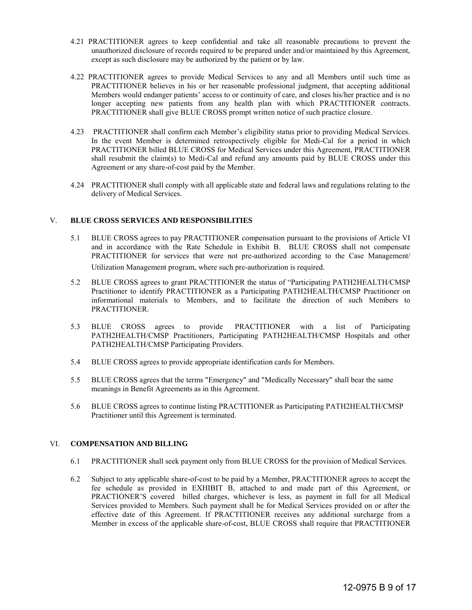- 4.21 PRACTITIONER agrees to keep confidential and take all reasonable precautions to prevent the unauthorized disclosure of records required to be prepared under and/or maintained by this Agreement, except as such disclosure may be authorized by the patient or by law.
- 4.22 PRACTITIONER agrees to provide Medical Services to any and all Members until such time as PRACTITIONER believes in his or her reasonable professional judgment, that accepting additional Members would endanger patients' access to or continuity of care, and closes his/her practice and is no longer accepting new patients from any health plan with which PRACTITIONER contracts. PRACTITIONER shall give BLUE CROSS prompt written notice of such practice closure.
- 4.23 PRACTITIONER shall confirm each Member's eligibility status prior to providing Medical Services. In the event Member is determined retrospectively eligible for Medi-Cal for a period in which PRACTITIONER billed BLUE CROSS for Medical Services under this Agreement, PRACTITIONER shall resubmit the claim(s) to Medi-Cal and refund any amounts paid by BLUE CROSS under this Agreement or any share-of-cost paid by the Member.
- 4.24 PRACTITIONER shall comply with all applicable state and federal laws and regulations relating to the delivery of Medical Services.

#### V. **BLUE CROSS SERVICES AND RESPONSIBILITIES**

- 5.1 BLUE CROSS agrees to pay PRACTITIONER compensation pursuant to the provisions of Article VI and in accordance with the Rate Schedule in Exhibit B. BLUE CROSS shall not compensate PRACTITIONER for services that were not pre-authorized according to the Case Management/ Utilization Management program, where such pre-authorization is required.
- 5.2 BLUE CROSS agrees to grant PRACTITIONER the status of "Participating PATH2HEALTH/CMSP Practitioner to identify PRACTITIONER as a Participating PATH2HEALTH/CMSP Practitioner on informational materials to Members, and to facilitate the direction of such Members to PRACTITIONER.
- 5.3 BLUE CROSS agrees to provide PRACTITIONER with a list of Participating PATH2HEALTH/CMSP Practitioners, Participating PATH2HEALTH/CMSP Hospitals and other PATH2HEALTH/CMSP Participating Providers.
- 5.4 BLUE CROSS agrees to provide appropriate identification cards for Members.
- 5.5 BLUE CROSS agrees that the terms "Emergency" and "Medically Necessary" shall bear the same meanings in Benefit Agreements as in this Agreement.
- 5.6 BLUE CROSS agrees to continue listing PRACTITIONER as Participating PATH2HEALTH/CMSP Practitioner until this Agreement is terminated.

#### VI. **COMPENSATION AND BILLING**

- 6.1 PRACTITIONER shall seek payment only from BLUE CROSS for the provision of Medical Services.
- 6.2 Subject to any applicable share-of-cost to be paid by a Member, PRACTITIONER agrees to accept the fee schedule as provided in EXHIBIT B, attached to and made part of this Agreement, or PRACTIONER'S covered billed charges, whichever is less, as payment in full for all Medical Services provided to Members. Such payment shall be for Medical Services provided on or after the effective date of this Agreement. If PRACTITIONER receives any additional surcharge from a Member in excess of the applicable share-of-cost, BLUE CROSS shall require that PRACTITIONER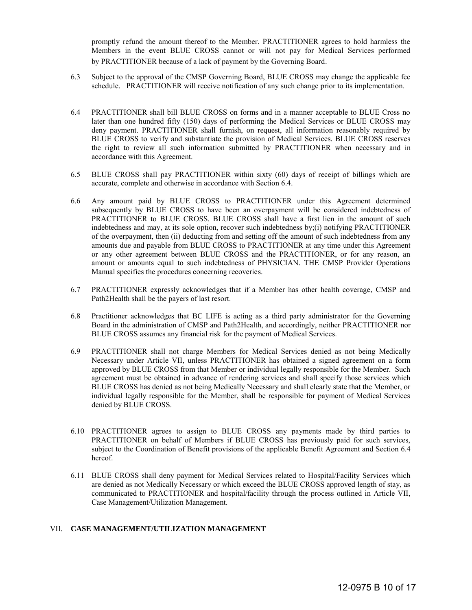promptly refund the amount thereof to the Member. PRACTITIONER agrees to hold harmless the Members in the event BLUE CROSS cannot or will not pay for Medical Services performed by PRACTITIONER because of a lack of payment by the Governing Board.

- 6.3 Subject to the approval of the CMSP Governing Board, BLUE CROSS may change the applicable fee schedule. PRACTITIONER will receive notification of any such change prior to its implementation.
- 6.4 PRACTITIONER shall bill BLUE CROSS on forms and in a manner acceptable to BLUE Cross no later than one hundred fifty (150) days of performing the Medical Services or BLUE CROSS may deny payment. PRACTITIONER shall furnish, on request, all information reasonably required by BLUE CROSS to verify and substantiate the provision of Medical Services. BLUE CROSS reserves the right to review all such information submitted by PRACTITIONER when necessary and in accordance with this Agreement.
- 6.5 BLUE CROSS shall pay PRACTITIONER within sixty (60) days of receipt of billings which are accurate, complete and otherwise in accordance with Section 6.4.
- 6.6 Any amount paid by BLUE CROSS to PRACTITIONER under this Agreement determined subsequently by BLUE CROSS to have been an overpayment will be considered indebtedness of PRACTITIONER to BLUE CROSS. BLUE CROSS shall have a first lien in the amount of such indebtedness and may, at its sole option, recover such indebtedness by;(i) notifying PRACTITIONER of the overpayment, then (ii) deducting from and setting off the amount of such indebtedness from any amounts due and payable from BLUE CROSS to PRACTITIONER at any time under this Agreement or any other agreement between BLUE CROSS and the PRACTITIONER, or for any reason, an amount or amounts equal to such indebtedness of PHYSICIAN. THE CMSP Provider Operations Manual specifies the procedures concerning recoveries.
- 6.7 PRACTITIONER expressly acknowledges that if a Member has other health coverage, CMSP and Path2Health shall be the payers of last resort.
- 6.8 Practitioner acknowledges that BC LIFE is acting as a third party administrator for the Governing Board in the administration of CMSP and Path2Health, and accordingly, neither PRACTITIONER nor BLUE CROSS assumes any financial risk for the payment of Medical Services.
- 6.9 PRACTITIONER shall not charge Members for Medical Services denied as not being Medically Necessary under Article VII, unless PRACTITIONER has obtained a signed agreement on a form approved by BLUE CROSS from that Member or individual legally responsible for the Member. Such agreement must be obtained in advance of rendering services and shall specify those services which BLUE CROSS has denied as not being Medically Necessary and shall clearly state that the Member, or individual legally responsible for the Member, shall be responsible for payment of Medical Services denied by BLUE CROSS.
- 6.10 PRACTITIONER agrees to assign to BLUE CROSS any payments made by third parties to PRACTITIONER on behalf of Members if BLUE CROSS has previously paid for such services, subject to the Coordination of Benefit provisions of the applicable Benefit Agreement and Section 6.4 hereof.
- 6.11 BLUE CROSS shall deny payment for Medical Services related to Hospital/Facility Services which are denied as not Medically Necessary or which exceed the BLUE CROSS approved length of stay, as communicated to PRACTITIONER and hospital/facility through the process outlined in Article VII, Case Management/Utilization Management.

#### VII. **CASE MANAGEMENT/UTILIZATION MANAGEMENT**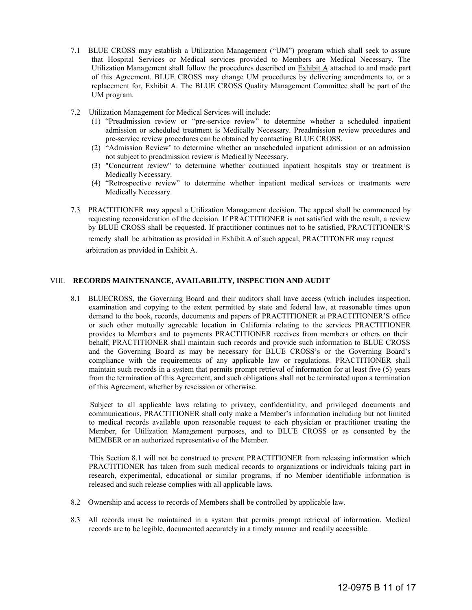- 7.1 BLUE CROSS may establish a Utilization Management ("UM") program which shall seek to assure that Hospital Services or Medical services provided to Members are Medical Necessary. The Utilization Management shall follow the procedures described on Exhibit A attached to and made part of this Agreement. BLUE CROSS may change UM procedures by delivering amendments to, or a replacement for, Exhibit A. The BLUE CROSS Quality Management Committee shall be part of the UM program.
- 7.2 Utilization Management for Medical Services will include:
	- (1) "Preadmission review or "pre-service review" to determine whether a scheduled inpatient admission or scheduled treatment is Medically Necessary. Preadmission review procedures and pre-service review procedures can be obtained by contacting BLUE CROSS.
	- (2) "Admission Review' to determine whether an unscheduled inpatient admission or an admission not subject to preadmission review is Medically Necessary.
	- (3) "Concurrent review" to determine whether continued inpatient hospitals stay or treatment is Medically Necessary.
	- (4) "Retrospective review" to determine whether inpatient medical services or treatments were Medically Necessary.
- 7.3 PRACTITIONER may appeal a Utilization Management decision. The appeal shall be commenced by requesting reconsideration of the decision. If PRACTITIONER is not satisfied with the result, a review by BLUE CROSS shall be requested. If practitioner continues not to be satisfied, PRACTITIONER'S

remedy shall be arbitration as provided in Exhibit A of such appeal, PRACTITONER may request arbitration as provided in Exhibit A.

#### VIII. **RECORDS MAINTENANCE, AVAILABILITY, INSPECTION AND AUDIT**

8.1 BLUECROSS, the Governing Board and their auditors shall have access (which includes inspection, examination and copying to the extent permitted by state and federal law, at reasonable times upon demand to the book, records, documents and papers of PRACTITIONER at PRACTITIONER'S office or such other mutually agreeable location in California relating to the services PRACTITIONER provides to Members and to payments PRACTITIONER receives from members or others on their behalf, PRACTITIONER shall maintain such records and provide such information to BLUE CROSS and the Governing Board as may be necessary for BLUE CROSS's or the Governing Board's compliance with the requirements of any applicable law or regulations. PRACTITIONER shall maintain such records in a system that permits prompt retrieval of information for at least five (5) years from the termination of this Agreement, and such obligations shall not be terminated upon a termination of this Agreement, whether by rescission or otherwise.

 Subject to all applicable laws relating to privacy, confidentiality, and privileged documents and communications, PRACTITIONER shall only make a Member's information including but not limited to medical records available upon reasonable request to each physician or practitioner treating the Member, for Utilization Management purposes, and to BLUE CROSS or as consented by the MEMBER or an authorized representative of the Member.

 This Section 8.1 will not be construed to prevent PRACTITIONER from releasing information which PRACTITIONER has taken from such medical records to organizations or individuals taking part in research, experimental, educational or similar programs, if no Member identifiable information is released and such release complies with all applicable laws.

- 8.2 Ownership and access to records of Members shall be controlled by applicable law.
- 8.3 All records must be maintained in a system that permits prompt retrieval of information. Medical records are to be legible, documented accurately in a timely manner and readily accessible.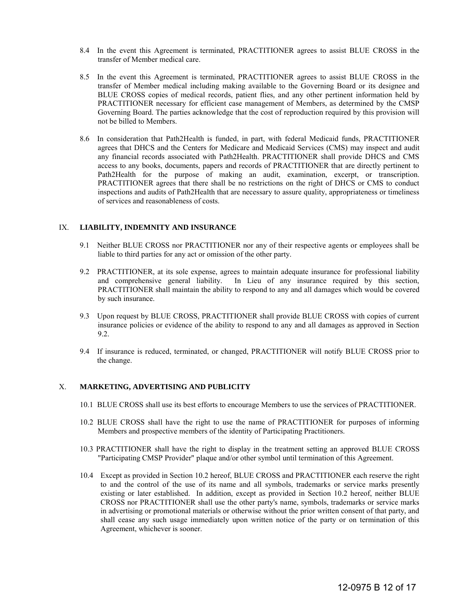- 8.4 In the event this Agreement is terminated, PRACTITIONER agrees to assist BLUE CROSS in the transfer of Member medical care.
- 8.5 In the event this Agreement is terminated, PRACTITIONER agrees to assist BLUE CROSS in the transfer of Member medical including making available to the Governing Board or its designee and BLUE CROSS copies of medical records, patient flies, and any other pertinent information held by PRACTITIONER necessary for efficient case management of Members, as determined by the CMSP Governing Board. The parties acknowledge that the cost of reproduction required by this provision will not be billed to Members.
- 8.6 In consideration that Path2Health is funded, in part, with federal Medicaid funds, PRACTITIONER agrees that DHCS and the Centers for Medicare and Medicaid Services (CMS) may inspect and audit any financial records associated with Path2Health. PRACTITIONER shall provide DHCS and CMS access to any books, documents, papers and records of PRACTITIONER that are directly pertinent to Path2Health for the purpose of making an audit, examination, excerpt, or transcription. PRACTITIONER agrees that there shall be no restrictions on the right of DHCS or CMS to conduct inspections and audits of Path2Health that are necessary to assure quality, appropriateness or timeliness of services and reasonableness of costs.

#### IX. **LIABILITY, INDEMNITY AND INSURANCE**

- 9.1 Neither BLUE CROSS nor PRACTITIONER nor any of their respective agents or employees shall be liable to third parties for any act or omission of the other party.
- 9.2 PRACTITIONER, at its sole expense, agrees to maintain adequate insurance for professional liability and comprehensive general liability. In Lieu of any insurance required by this section, PRACTITIONER shall maintain the ability to respond to any and all damages which would be covered by such insurance.
- 9.3 Upon request by BLUE CROSS, PRACTITIONER shall provide BLUE CROSS with copies of current insurance policies or evidence of the ability to respond to any and all damages as approved in Section 9.2.
- 9.4 If insurance is reduced, terminated, or changed, PRACTITIONER will notify BLUE CROSS prior to the change.

#### X. **MARKETING, ADVERTISING AND PUBLICITY**

- 10.1 BLUE CROSS shall use its best efforts to encourage Members to use the services of PRACTITIONER.
- 10.2 BLUE CROSS shall have the right to use the name of PRACTITIONER for purposes of informing Members and prospective members of the identity of Participating Practitioners.
- 10.3 PRACTITIONER shall have the right to display in the treatment setting an approved BLUE CROSS "Participating CMSP Provider" plaque and/or other symbol until termination of this Agreement.
- 10.4 Except as provided in Section 10.2 hereof, BLUE CROSS and PRACTITIONER each reserve the right to and the control of the use of its name and all symbols, trademarks or service marks presently existing or later established. In addition, except as provided in Section 10.2 hereof, neither BLUE CROSS nor PRACTITIONER shall use the other party's name, symbols, trademarks or service marks in advertising or promotional materials or otherwise without the prior written consent of that party, and shall cease any such usage immediately upon written notice of the party or on termination of this Agreement, whichever is sooner.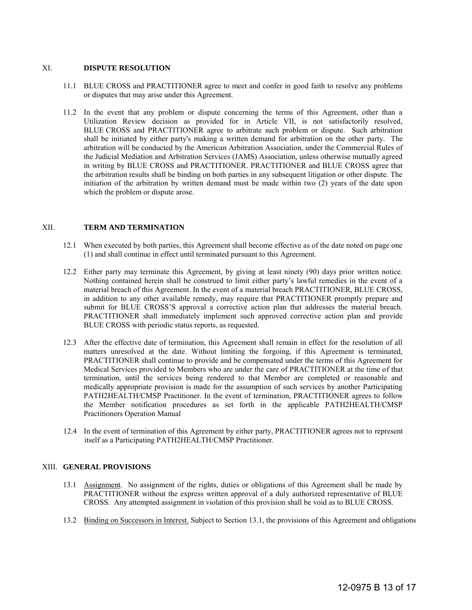#### XI. **DISPUTE RESOLUTION**

- 11.1 BLUE CROSS and PRACTITIONER agree to meet and confer in good faith to resolve any problems or disputes that may arise under this Agreement.
- 11.2 In the event that any problem or dispute concerning the terms of this Agreement, other than a Utilization Review decision as provided for in Article VII, is not satisfactorily resolved, BLUE CROSS and PRACTITIONER agree to arbitrate such problem or dispute. Such arbitration shall be initiated by either party's making a written demand for arbitration on the other party. The arbitration will be conducted by the American Arbitration Association, under the Commercial Rules of the Judicial Mediation and Arbitration Services (JAMS) Association, unless otherwise mutually agreed in writing by BLUE CROSS and PRACTITIONER. PRACTITIONER and BLUE CROSS agree that the arbitration results shall be binding on both parties in any subsequent litigation or other dispute. The initiation of the arbitration by written demand must be made within two (2) years of the date upon which the problem or dispute arose.

#### XII. **TERM AND TERMINATION**

- 12.1 When executed by both parties, this Agreement shall become effective as of the date noted on page one (1) and shall continue in effect until terminated pursuant to this Agreement.
- 12.2 Either party may terminate this Agreement, by giving at least ninety (90) days prior written notice. Nothing contained herein shall be construed to limit either party's lawful remedies in the event of a material breach of this Agreement. In the event of a material breach PRACTITIONER, BLUE CROSS, in addition to any other available remedy, may require that PRACTITIONER promptly prepare and submit for BLUE CROSS'S approval a corrective action plan that addresses the material breach. PRACTITIONER shall immediately implement such approved corrective action plan and provide BLUE CROSS with periodic status reports, as requested.
- 12.3 After the effective date of termination, this Agreement shall remain in effect for the resolution of all matters unresolved at the date. Without limiting the forgoing, if this Agreement is terminated, PRACTITIONER shall continue to provide and be compensated under the terms of this Agreement for Medical Services provided to Members who are under the care of PRACTITIONER at the time of that termination, until the services being rendered to that Member are completed or reasonable and medically appropriate provision is made for the assumption of such services by another Participating PATH2HEALTH/CMSP Practitioner. In the event of termination, PRACTITIONER agrees to follow the Member notification procedures as set forth in the applicable PATH2HEALTH/CMSP Practitioners Operation Manual
- 12.4 In the event of termination of this Agreement by either party, PRACTITIONER agrees not to represent itself as a Participating PATH2HEALTH/CMSP Practitioner.

#### XIII. **GENERAL PROVISIONS**

- 13.1 Assignment. No assignment of the rights, duties or obligations of this Agreement shall be made by PRACTITIONER without the express written approval of a duly authorized representative of BLUE CROSS. Any attempted assignment in violation of this provision shall be void as to BLUE CROSS.
- 13.2 Binding on Successors in Interest. Subject to Section 13.1, the provisions of this Agreement and obligations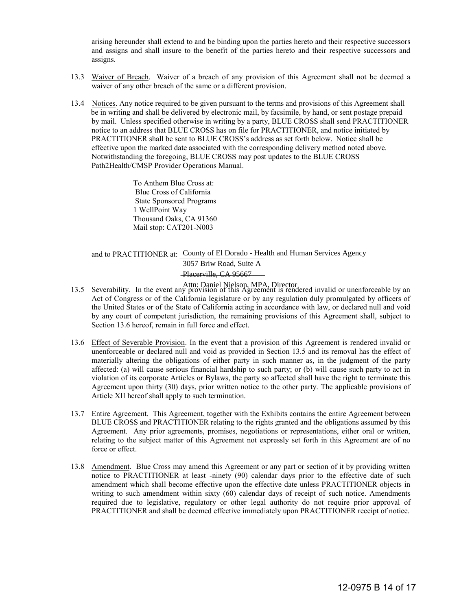arising hereunder shall extend to and be binding upon the parties hereto and their respective successors and assigns and shall insure to the benefit of the parties hereto and their respective successors and assigns.

- 13.3 Waiver of Breach. Waiver of a breach of any provision of this Agreement shall not be deemed a waiver of any other breach of the same or a different provision.
- 13.4 Notices. Any notice required to be given pursuant to the terms and provisions of this Agreement shall be in writing and shall be delivered by electronic mail, by facsimile, by hand, or sent postage prepaid by mail. Unless specified otherwise in writing by a party, BLUE CROSS shall send PRACTITIONER notice to an address that BLUE CROSS has on file for PRACTITIONER, and notice initiated by PRACTITIONER shall be sent to BLUE CROSS's address as set forth below. Notice shall be effective upon the marked date associated with the corresponding delivery method noted above. Notwithstanding the foregoing, BLUE CROSS may post updates to the BLUE CROSS Path2Health/CMSP Provider Operations Manual.

 To Anthem Blue Cross at: Blue Cross of California State Sponsored Programs 1 WellPoint Way Thousand Oaks, CA 91360 Mail stop: CAT201-N003

and to PRACTITIONER at: County of El Dorado - Health and Human Services Agency Placerville, CA 95667 3057 Briw Road, Suite A

- Attn: Daniel Nielson, MPA, Director<br>13.5 Severability. In the event any provision of this Agreement is rendered invalid or unenforceable by an Act of Congress or of the California legislature or by any regulation duly promulgated by officers of the United States or of the State of California acting in accordance with law, or declared null and void by any court of competent jurisdiction, the remaining provisions of this Agreement shall, subject to Section 13.6 hereof, remain in full force and effect.
- 13.6 Effect of Severable Provision. In the event that a provision of this Agreement is rendered invalid or unenforceable or declared null and void as provided in Section 13.5 and its removal has the effect of materially altering the obligations of either party in such manner as, in the judgment of the party affected: (a) will cause serious financial hardship to such party; or (b) will cause such party to act in violation of its corporate Articles or Bylaws, the party so affected shall have the right to terminate this Agreement upon thirty (30) days, prior written notice to the other party. The applicable provisions of Article XII hereof shall apply to such termination.
- 13.7 Entire Agreement. This Agreement, together with the Exhibits contains the entire Agreement between BLUE CROSS and PRACTITIONER relating to the rights granted and the obligations assumed by this Agreement. Any prior agreements, promises, negotiations or representations, either oral or written, relating to the subject matter of this Agreement not expressly set forth in this Agreement are of no force or effect.
- 13.8 Amendment. Blue Cross may amend this Agreement or any part or section of it by providing written notice to PRACTITIONER at least -ninety (90) calendar days prior to the effective date of such amendment which shall become effective upon the effective date unless PRACTITIONER objects in writing to such amendment within sixty (60) calendar days of receipt of such notice. Amendments required due to legislative, regulatory or other legal authority do not require prior approval of PRACTITIONER and shall be deemed effective immediately upon PRACTITIONER receipt of notice.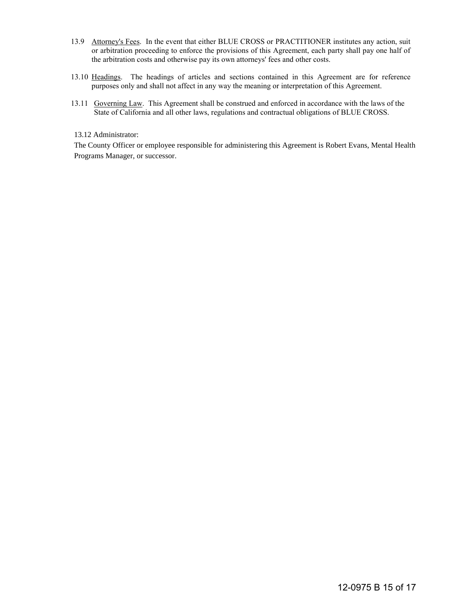- 13.9 Attorney's Fees. In the event that either BLUE CROSS or PRACTITIONER institutes any action, suit or arbitration proceeding to enforce the provisions of this Agreement, each party shall pay one half of the arbitration costs and otherwise pay its own attorneys' fees and other costs.
- 13.10 Headings. The headings of articles and sections contained in this Agreement are for reference purposes only and shall not affect in any way the meaning or interpretation of this Agreement.
- 13.11 Governing Law. This Agreement shall be construed and enforced in accordance with the laws of the State of California and all other laws, regulations and contractual obligations of BLUE CROSS.

#### 13.12 Administrator:

The County Officer or employee responsible for administering this Agreement is Robert Evans, Mental Health Programs Manager, or successor.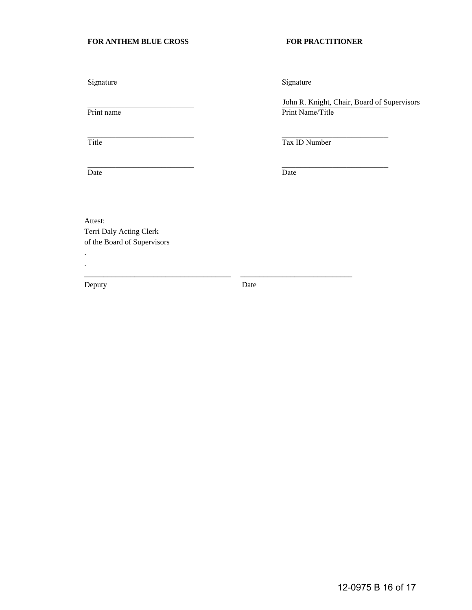#### FOR ANTHEM BLUE CROSS FOR PRACTITIONER

Signature Signature Signature Signature Signature Signature Signature Signature Signature Signature Signature Signature Signature Signature Signature Signature Signature Signature Signature Signature Signature Signature Si

Date Date Date

 $\mathcal{L}=\mathcal{L}=\mathcal{L}=\mathcal{L}=\mathcal{L}=\mathcal{L}=\mathcal{L}=\mathcal{L}=\mathcal{L}=\mathcal{L}=\mathcal{L}=\mathcal{L}=\mathcal{L}=\mathcal{L}=\mathcal{L}=\mathcal{L}=\mathcal{L}=\mathcal{L}=\mathcal{L}=\mathcal{L}=\mathcal{L}=\mathcal{L}=\mathcal{L}=\mathcal{L}=\mathcal{L}=\mathcal{L}=\mathcal{L}=\mathcal{L}=\mathcal{L}=\mathcal{L}=\mathcal{L}=\mathcal{L}=\mathcal{L}=\mathcal{L}=\mathcal{L}=\mathcal{L}=\mathcal{$ 

John R. Knight, Chair, Board of Supervisors Print name Print Name/Title

Title Tax ID Number

 $\mathcal{L}=\mathcal{L}=\mathcal{L}=\mathcal{L}=\mathcal{L}=\mathcal{L}=\mathcal{L}=\mathcal{L}=\mathcal{L}=\mathcal{L}=\mathcal{L}=\mathcal{L}=\mathcal{L}=\mathcal{L}=\mathcal{L}=\mathcal{L}=\mathcal{L}=\mathcal{L}=\mathcal{L}=\mathcal{L}=\mathcal{L}=\mathcal{L}=\mathcal{L}=\mathcal{L}=\mathcal{L}=\mathcal{L}=\mathcal{L}=\mathcal{L}=\mathcal{L}=\mathcal{L}=\mathcal{L}=\mathcal{L}=\mathcal{L}=\mathcal{L}=\mathcal{L}=\mathcal{L}=\mathcal{$ 

Attest: Terri Daly Acting Clerk of the Board of Supervisors

. .

Deputy Date Date

\_\_\_\_\_\_\_\_\_\_\_\_\_\_\_\_\_\_\_\_\_\_\_\_\_\_\_\_\_\_\_\_\_\_\_\_\_\_ \_\_\_\_\_\_\_\_\_\_\_\_\_\_\_\_\_\_\_\_\_\_\_\_\_\_\_\_\_

 $\mathcal{L}=\mathcal{L}=\mathcal{L}=\mathcal{L}=\mathcal{L}=\mathcal{L}=\mathcal{L}=\mathcal{L}=\mathcal{L}=\mathcal{L}=\mathcal{L}=\mathcal{L}=\mathcal{L}=\mathcal{L}=\mathcal{L}=\mathcal{L}=\mathcal{L}=\mathcal{L}=\mathcal{L}=\mathcal{L}=\mathcal{L}=\mathcal{L}=\mathcal{L}=\mathcal{L}=\mathcal{L}=\mathcal{L}=\mathcal{L}=\mathcal{L}=\mathcal{L}=\mathcal{L}=\mathcal{L}=\mathcal{L}=\mathcal{L}=\mathcal{L}=\mathcal{L}=\mathcal{L}=\mathcal{$